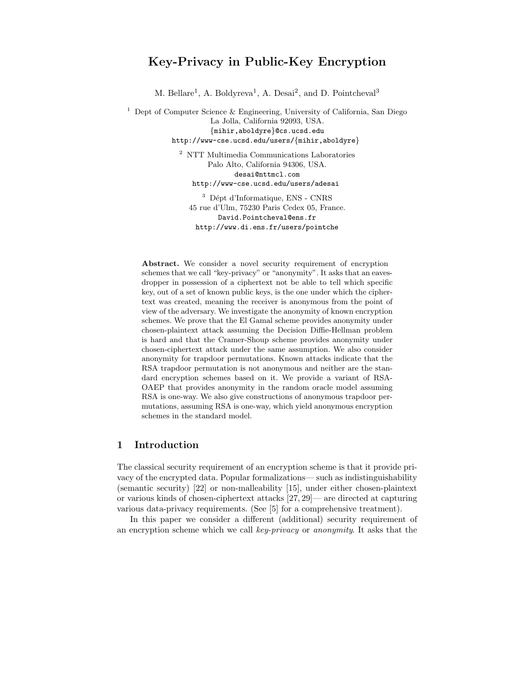# Key-Privacy in Public-Key Encryption

M. Bellare<sup>1</sup>, A. Boldyreva<sup>1</sup>, A. Desai<sup>2</sup>, and D. Pointcheval<sup>3</sup>

<sup>1</sup> Dept of Computer Science  $\&$  Engineering, University of California, San Diego La Jolla, California 92093, USA. {mihir,aboldyre}@cs.ucsd.edu http://www-cse.ucsd.edu/users/{mihir,aboldyre}

> $^{\rm 2}$  NTT Multimedia Communications Laboratories Palo Alto, California 94306, USA. desai@nttmcl.com http://www-cse.ucsd.edu/users/adesai

 $3$  Dépt d'Informatique, ENS - CNRS 45 rue d'Ulm, 75230 Paris Cedex 05, France. David.Pointcheval@ens.fr http://www.di.ens.fr/users/pointche

Abstract. We consider a novel security requirement of encryption schemes that we call "key-privacy" or "anonymity". It asks that an eavesdropper in possession of a ciphertext not be able to tell which specific key, out of a set of known public keys, is the one under which the ciphertext was created, meaning the receiver is anonymous from the point of view of the adversary. We investigate the anonymity of known encryption schemes. We prove that the El Gamal scheme provides anonymity under chosen-plaintext attack assuming the Decision Diffie-Hellman problem is hard and that the Cramer-Shoup scheme provides anonymity under chosen-ciphertext attack under the same assumption. We also consider anonymity for trapdoor permutations. Known attacks indicate that the RSA trapdoor permutation is not anonymous and neither are the standard encryption schemes based on it. We provide a variant of RSA-OAEP that provides anonymity in the random oracle model assuming RSA is one-way. We also give constructions of anonymous trapdoor permutations, assuming RSA is one-way, which yield anonymous encryption schemes in the standard model.

## 1 Introduction

The classical security requirement of an encryption scheme is that it provide privacy of the encrypted data. Popular formalizations— such as indistinguishability (semantic security) [22] or non-malleability [15], under either chosen-plaintext or various kinds of chosen-ciphertext attacks [27, 29]— are directed at capturing various data-privacy requirements. (See [5] for a comprehensive treatment).

In this paper we consider a different (additional) security requirement of an encryption scheme which we call key-privacy or anonymity. It asks that the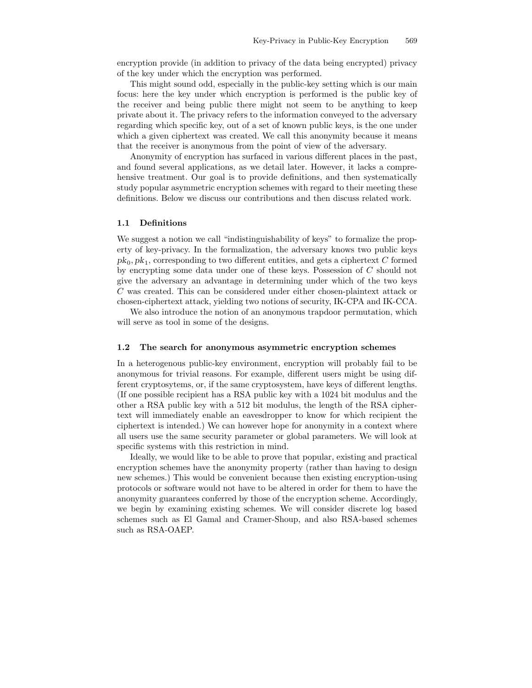encryption provide (in addition to privacy of the data being encrypted) privacy of the key under which the encryption was performed.

This might sound odd, especially in the public-key setting which is our main focus: here the key under which encryption is performed is the public key of the receiver and being public there might not seem to be anything to keep private about it. The privacy refers to the information conveyed to the adversary regarding which specific key, out of a set of known public keys, is the one under which a given ciphertext was created. We call this anonymity because it means that the receiver is anonymous from the point of view of the adversary.

Anonymity of encryption has surfaced in various different places in the past, and found several applications, as we detail later. However, it lacks a comprehensive treatment. Our goal is to provide definitions, and then systematically study popular asymmetric encryption schemes with regard to their meeting these definitions. Below we discuss our contributions and then discuss related work.

#### 1.1 Definitions

We suggest a notion we call "indistinguishability of keys" to formalize the property of key-privacy. In the formalization, the adversary knows two public keys  $pk_0, pk_1$ , corresponding to two different entities, and gets a ciphertext  $C$  formed by encrypting some data under one of these keys. Possession of C should not give the adversary an advantage in determining under which of the two keys C was created. This can be considered under either chosen-plaintext attack or chosen-ciphertext attack, yielding two notions of security, IK-CPA and IK-CCA.

We also introduce the notion of an anonymous trapdoor permutation, which will serve as tool in some of the designs.

#### 1.2 The search for anonymous asymmetric encryption schemes

In a heterogenous public-key environment, encryption will probably fail to be anonymous for trivial reasons. For example, different users might be using different cryptosytems, or, if the same cryptosystem, have keys of different lengths. (If one possible recipient has a RSA public key with a 1024 bit modulus and the other a RSA public key with a 512 bit modulus, the length of the RSA ciphertext will immediately enable an eavesdropper to know for which recipient the ciphertext is intended.) We can however hope for anonymity in a context where all users use the same security parameter or global parameters. We will look at specific systems with this restriction in mind.

Ideally, we would like to be able to prove that popular, existing and practical encryption schemes have the anonymity property (rather than having to design new schemes.) This would be convenient because then existing encryption-using protocols or software would not have to be altered in order for them to have the anonymity guarantees conferred by those of the encryption scheme. Accordingly, we begin by examining existing schemes. We will consider discrete log based schemes such as El Gamal and Cramer-Shoup, and also RSA-based schemes such as RSA-OAEP.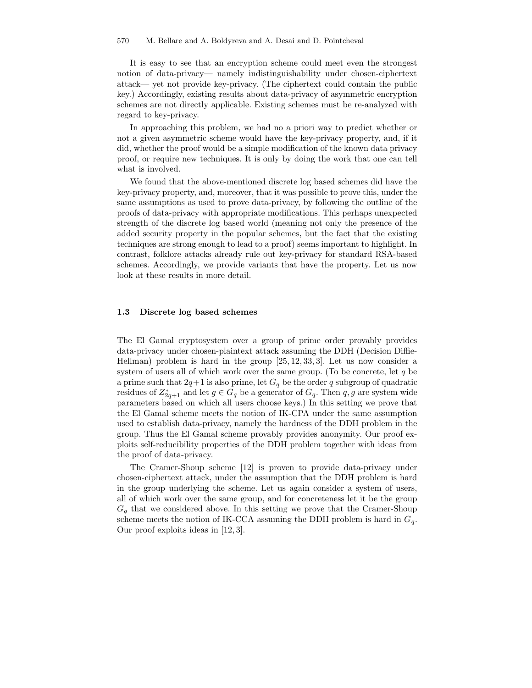It is easy to see that an encryption scheme could meet even the strongest notion of data-privacy— namely indistinguishability under chosen-ciphertext attack— yet not provide key-privacy. (The ciphertext could contain the public key.) Accordingly, existing results about data-privacy of asymmetric encryption schemes are not directly applicable. Existing schemes must be re-analyzed with regard to key-privacy.

In approaching this problem, we had no a priori way to predict whether or not a given asymmetric scheme would have the key-privacy property, and, if it did, whether the proof would be a simple modification of the known data privacy proof, or require new techniques. It is only by doing the work that one can tell what is involved.

We found that the above-mentioned discrete log based schemes did have the key-privacy property, and, moreover, that it was possible to prove this, under the same assumptions as used to prove data-privacy, by following the outline of the proofs of data-privacy with appropriate modifications. This perhaps unexpected strength of the discrete log based world (meaning not only the presence of the added security property in the popular schemes, but the fact that the existing techniques are strong enough to lead to a proof) seems important to highlight. In contrast, folklore attacks already rule out key-privacy for standard RSA-based schemes. Accordingly, we provide variants that have the property. Let us now look at these results in more detail.

### 1.3 Discrete log based schemes

The El Gamal cryptosystem over a group of prime order provably provides data-privacy under chosen-plaintext attack assuming the DDH (Decision Diffie-Hellman) problem is hard in the group [25, 12, 33, 3]. Let us now consider a system of users all of which work over the same group. (To be concrete, let  $q$  be a prime such that  $2q+1$  is also prime, let  $G_q$  be the order q subgroup of quadratic residues of  $Z_{2q+1}^*$  and let  $g \in G_q$  be a generator of  $G_q$ . Then  $q, g$  are system wide parameters based on which all users choose keys.) In this setting we prove that the El Gamal scheme meets the notion of IK-CPA under the same assumption used to establish data-privacy, namely the hardness of the DDH problem in the group. Thus the El Gamal scheme provably provides anonymity. Our proof exploits self-reducibility properties of the DDH problem together with ideas from the proof of data-privacy.

The Cramer-Shoup scheme [12] is proven to provide data-privacy under chosen-ciphertext attack, under the assumption that the DDH problem is hard in the group underlying the scheme. Let us again consider a system of users, all of which work over the same group, and for concreteness let it be the group  $G_q$  that we considered above. In this setting we prove that the Cramer-Shoup scheme meets the notion of IK-CCA assuming the DDH problem is hard in  $G_q$ . Our proof exploits ideas in [12, 3].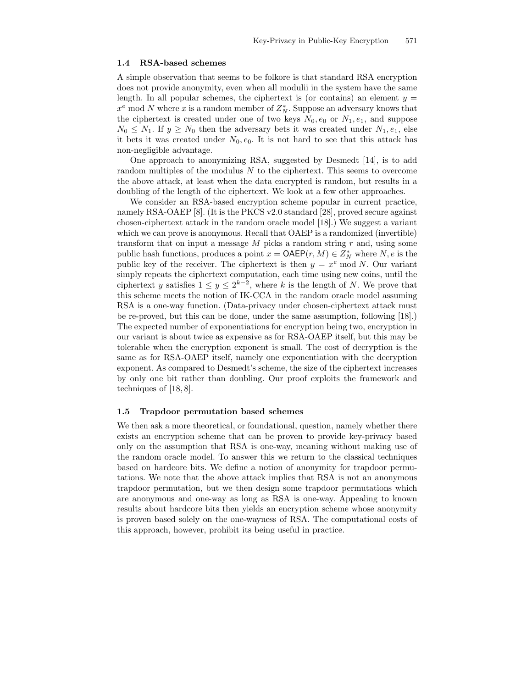### 1.4 RSA-based schemes

A simple observation that seems to be folkore is that standard RSA encryption does not provide anonymity, even when all modulii in the system have the same length. In all popular schemes, the ciphertext is (or contains) an element  $y =$  $x^e$  mod N where x is a random member of  $Z_N^*$ . Suppose an adversary knows that the ciphertext is created under one of two keys  $N_0$ ,  $e_0$  or  $N_1$ ,  $e_1$ , and suppose  $N_0 \leq N_1$ . If  $y \geq N_0$  then the adversary bets it was created under  $N_1, e_1$ , else it bets it was created under  $N_0, e_0$ . It is not hard to see that this attack has non-negligible advantage.

One approach to anonymizing RSA, suggested by Desmedt [14], is to add random multiples of the modulus  $N$  to the ciphertext. This seems to overcome the above attack, at least when the data encrypted is random, but results in a doubling of the length of the ciphertext. We look at a few other approaches.

We consider an RSA-based encryption scheme popular in current practice, namely RSA-OAEP [8]. (It is the PKCS v2.0 standard [28], proved secure against chosen-ciphertext attack in the random oracle model [18].) We suggest a variant which we can prove is anonymous. Recall that OAEP is a randomized (invertible) transform that on input a message  $M$  picks a random string  $r$  and, using some public hash functions, produces a point  $x = \mathsf{OAEP}(r, M) \in Z_N^*$  where  $N, e$  is the public key of the receiver. The ciphertext is then  $y = x^e \mod N$ . Our variant simply repeats the ciphertext computation, each time using new coins, until the ciphertext y satisfies  $1 \leq y \leq 2^{k-2}$ , where k is the length of N. We prove that this scheme meets the notion of IK-CCA in the random oracle model assuming RSA is a one-way function. (Data-privacy under chosen-ciphertext attack must be re-proved, but this can be done, under the same assumption, following [18].) The expected number of exponentiations for encryption being two, encryption in our variant is about twice as expensive as for RSA-OAEP itself, but this may be tolerable when the encryption exponent is small. The cost of decryption is the same as for RSA-OAEP itself, namely one exponentiation with the decryption exponent. As compared to Desmedt's scheme, the size of the ciphertext increases by only one bit rather than doubling. Our proof exploits the framework and techniques of [18, 8].

### 1.5 Trapdoor permutation based schemes

We then ask a more theoretical, or foundational, question, namely whether there exists an encryption scheme that can be proven to provide key-privacy based only on the assumption that RSA is one-way, meaning without making use of the random oracle model. To answer this we return to the classical techniques based on hardcore bits. We define a notion of anonymity for trapdoor permutations. We note that the above attack implies that RSA is not an anonymous trapdoor permutation, but we then design some trapdoor permutations which are anonymous and one-way as long as RSA is one-way. Appealing to known results about hardcore bits then yields an encryption scheme whose anonymity is proven based solely on the one-wayness of RSA. The computational costs of this approach, however, prohibit its being useful in practice.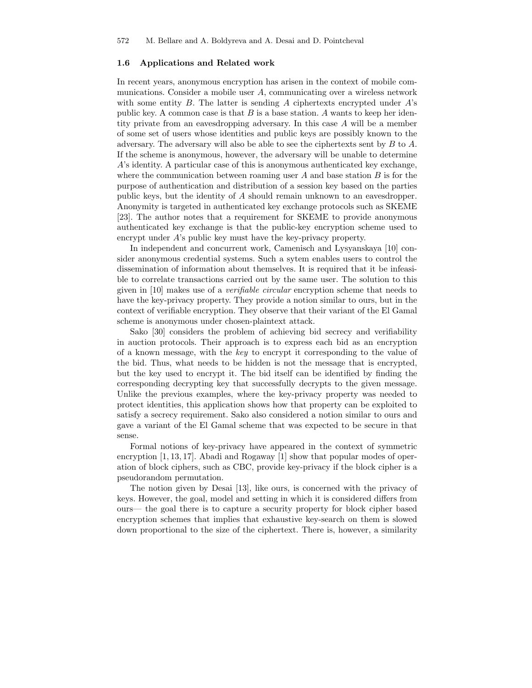#### 1.6 Applications and Related work

In recent years, anonymous encryption has arisen in the context of mobile communications. Consider a mobile user A, communicating over a wireless network with some entity B. The latter is sending A ciphertexts encrypted under  $A$ 's public key. A common case is that  $B$  is a base station. A wants to keep her identity private from an eavesdropping adversary. In this case A will be a member of some set of users whose identities and public keys are possibly known to the adversary. The adversary will also be able to see the ciphertexts sent by B to A. If the scheme is anonymous, however, the adversary will be unable to determine A's identity. A particular case of this is anonymous authenticated key exchange, where the communication between roaming user  $A$  and base station  $B$  is for the purpose of authentication and distribution of a session key based on the parties public keys, but the identity of A should remain unknown to an eavesdropper. Anonymity is targeted in authenticated key exchange protocols such as SKEME [23]. The author notes that a requirement for SKEME to provide anonymous authenticated key exchange is that the public-key encryption scheme used to encrypt under A's public key must have the key-privacy property.

In independent and concurrent work, Camenisch and Lysyanskaya [10] consider anonymous credential systems. Such a sytem enables users to control the dissemination of information about themselves. It is required that it be infeasible to correlate transactions carried out by the same user. The solution to this given in [10] makes use of a verifiable circular encryption scheme that needs to have the key-privacy property. They provide a notion similar to ours, but in the context of verifiable encryption. They observe that their variant of the El Gamal scheme is anonymous under chosen-plaintext attack.

Sako [30] considers the problem of achieving bid secrecy and verifiability in auction protocols. Their approach is to express each bid as an encryption of a known message, with the key to encrypt it corresponding to the value of the bid. Thus, what needs to be hidden is not the message that is encrypted, but the key used to encrypt it. The bid itself can be identified by finding the corresponding decrypting key that successfully decrypts to the given message. Unlike the previous examples, where the key-privacy property was needed to protect identities, this application shows how that property can be exploited to satisfy a secrecy requirement. Sako also considered a notion similar to ours and gave a variant of the El Gamal scheme that was expected to be secure in that sense.

Formal notions of key-privacy have appeared in the context of symmetric encryption [1, 13, 17]. Abadi and Rogaway [1] show that popular modes of operation of block ciphers, such as CBC, provide key-privacy if the block cipher is a pseudorandom permutation.

The notion given by Desai [13], like ours, is concerned with the privacy of keys. However, the goal, model and setting in which it is considered differs from ours— the goal there is to capture a security property for block cipher based encryption schemes that implies that exhaustive key-search on them is slowed down proportional to the size of the ciphertext. There is, however, a similarity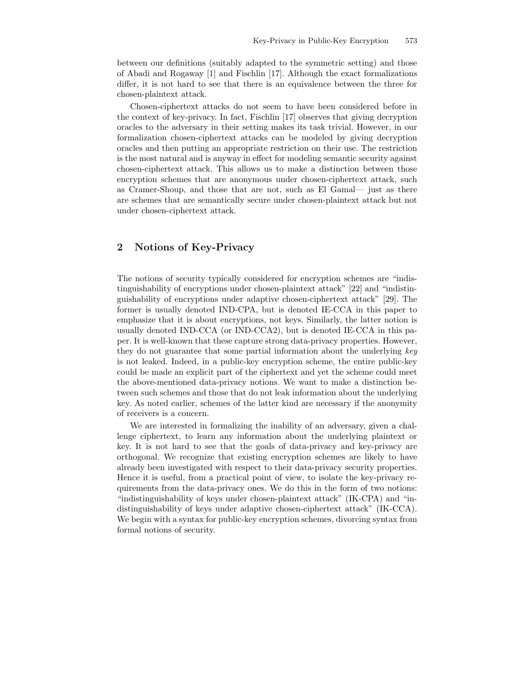between our definitions (suitably adapted to the symmetric setting) and those of Abadi and Rogaway [1] and Fischlin [17]. Although the exact formalizations differ, it is not hard to see that there is an equivalence between the three for chosen-plaintext attack.

Chosen-ciphertext attacks do not seem to have been considered before in the context of key-privacy. In fact, Fischlin [17] observes that giving decryption oracles to the adversary in their setting makes its task trivial. However, in our formalization chosen-ciphertext attacks can be modeled by giving decryption oracles and then putting an appropriate restriction on their use. The restriction is the most natural and is anyway in effect for modeling semantic security against chosen-ciphertext attack. This allows us to make a distinction between those encryption schemes that are anonymous under chosen-ciphertext attack, such as Cramer-Shoup, and those that are not, such as El Gamal— just as there are schemes that are semantically secure under chosen-plaintext attack but not under chosen-ciphertext attack.

# 2 Notions of Key-Privacy

The notions of security typically considered for encryption schemes are "indistinguishability of encryptions under chosen-plaintext attack" [22] and "indistinguishability of encryptions under adaptive chosen-ciphertext attack" [29]. The former is usually denoted IND-CPA, but is denoted IE-CCA in this paper to emphasize that it is about encryptions, not keys. Similarly, the latter notion is usually denoted IND-CCA (or IND-CCA2), but is denoted IE-CCA in this paper. It is well-known that these capture strong data-privacy properties. However, they do not guarantee that some partial information about the underlying key is not leaked. Indeed, in a public-key encryption scheme, the entire public-key could be made an explicit part of the ciphertext and yet the scheme could meet the above-mentioned data-privacy notions. We want to make a distinction between such schemes and those that do not leak information about the underlying key. As noted earlier, schemes of the latter kind are necessary if the anonymity of receivers is a concern.

We are interested in formalizing the inability of an adversary, given a challenge ciphertext, to learn any information about the underlying plaintext or key. It is not hard to see that the goals of data-privacy and key-privacy are orthogonal. We recognize that existing encryption schemes are likely to have already been investigated with respect to their data-privacy security properties. Hence it is useful, from a practical point of view, to isolate the key-privacy requirements from the data-privacy ones. We do this in the form of two notions: "indistinguishability of keys under chosen-plaintext attack" (IK-CPA) and "indistinguishability of keys under adaptive chosen-ciphertext attack" (IK-CCA). We begin with a syntax for public-key encryption schemes, divorcing syntax from formal notions of security.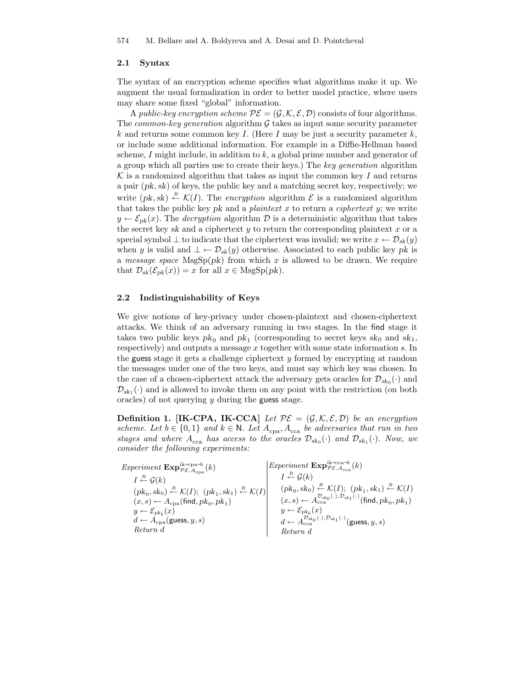#### 2.1 Syntax

The syntax of an encryption scheme specifies what algorithms make it up. We augment the usual formalization in order to better model practice, where users may share some fixed "global" information.

A public-key encryption scheme  $\mathcal{P}\mathcal{E} = (\mathcal{G}, \mathcal{K}, \mathcal{E}, \mathcal{D})$  consists of four algorithms. The *common-key generation* algorithm  $G$  takes as input some security parameter k and returns some common key I. (Here I may be just a security parameter  $k$ , or include some additional information. For example in a Diffie-Hellman based scheme, I might include, in addition to  $k$ , a global prime number and generator of a group which all parties use to create their keys.) The key generation algorithm  $K$  is a randomized algorithm that takes as input the common key  $I$  and returns a pair (pk,sk) of keys, the public key and a matching secret key, respectively; we write  $(pk, sk) \stackrel{R}{\leftarrow} \mathcal{K}(I)$ . The *encryption* algorithm  $\mathcal{E}$  is a randomized algorithm that takes the public key pk and a *plaintext x* to return a *ciphertext y*; we write  $y \leftarrow \mathcal{E}_{pk}(x)$ . The *decryption* algorithm  $\mathcal{D}$  is a deterministic algorithm that takes the secret key sk and a ciphertext  $y$  to return the corresponding plaintext  $x$  or a special symbol  $\perp$  to indicate that the ciphertext was invalid; we write  $x \leftarrow \mathcal{D}_{sk}(y)$ when y is valid and  $\perp \leftarrow \mathcal{D}_{sk}(y)$  otherwise. Associated to each public key pk is a *message space* MsgSp( $pk$ ) from which x is allowed to be drawn. We require that  $\mathcal{D}_{sk}(\mathcal{E}_{pk}(x)) = x$  for all  $x \in \text{MsgSp}(pk)$ .

### 2.2 Indistinguishability of Keys

We give notions of key-privacy under chosen-plaintext and chosen-ciphertext attacks. We think of an adversary running in two stages. In the find stage it takes two public keys  $pk_0$  and  $pk_1$  (corresponding to secret keys  $sk_0$  and  $sk_1$ , respectively) and outputs a message  $x$  together with some state information  $s$ . In the guess stage it gets a challenge ciphertext  $y$  formed by encrypting at random the messages under one of the two keys, and must say which key was chosen. In the case of a chosen-ciphertext attack the adversary gets oracles for  $\mathcal{D}_{sk_0}(\cdot)$  and  $\mathcal{D}_{sk_1}(\cdot)$  and is allowed to invoke them on any point with the restriction (on both oracles) of not querying  $y$  during the guess stage.

**Definition 1. [IK-CPA, IK-CCA]** Let  $\mathcal{PE} = (\mathcal{G}, \mathcal{K}, \mathcal{E}, \mathcal{D})$  be an encryption scheme. Let  $b \in \{0,1\}$  and  $k \in \mathbb{N}$ . Let  $A_{\text{cpa}}$ ,  $A_{\text{cca}}$  be adversaries that run in two stages and where  $A_{\text{cca}}$  has access to the oracles  $\mathcal{D}_{\text{sk}_0}(\cdot)$  and  $\mathcal{D}_{\text{sk}_1}(\cdot)$ . Now, we consider the following experiments:

| <i>Experiment</i> $\mathbf{Exp}_{\mathcal{PE},A_{\text{cpa}}}^{\text{ik-cpa-}b}(k)$                          | <i>Experiment</i> $\mathbf{Exp}_{\mathcal{PE},A_{con}}^{\text{ik-cca-}b}(k)$                                                     |
|--------------------------------------------------------------------------------------------------------------|----------------------------------------------------------------------------------------------------------------------------------|
| $I \stackrel{R}{\leftarrow} \mathcal{G}(k)$                                                                  | $I \stackrel{R}{\leftarrow} \mathcal{G}(k)$                                                                                      |
| $(pk_0, sk_0) \stackrel{R}{\leftarrow} \mathcal{K}(I); (pk_1, sk_1) \stackrel{R}{\leftarrow} \mathcal{K}(I)$ | $(pk_0, sk_0) \stackrel{R}{\leftarrow} \mathcal{K}(I); (pk_1, sk_1) \stackrel{R}{\leftarrow} \mathcal{K}(I)$                     |
| $(x, s) \leftarrow A_{\rm cpa}(\text{find}, pk_0, pk_1)$                                                     | $(x, s) \leftarrow A_{\text{cca}}^{\mathcal{D}_{\text{sk}_0}(\cdot), \mathcal{D}_{\text{sk}_1}(\cdot)}(\text{find}, pk_0, pk_1)$ |
| $y \leftarrow \mathcal{E}_{pk_b}(x)$                                                                         | $y \leftarrow \mathcal{E}_{pk_h}(x)$                                                                                             |
| $d \leftarrow A_{\rm cpa}(\text{guess}, y, s)$                                                               | $d \leftarrow A_{\text{cca}}^{\mathcal{D}_{\text{sk}_0}(\cdot), \mathcal{D}_{\text{sk}_1}(\cdot)}(\text{guess}, y, s)$           |
| Return d                                                                                                     | Return d                                                                                                                         |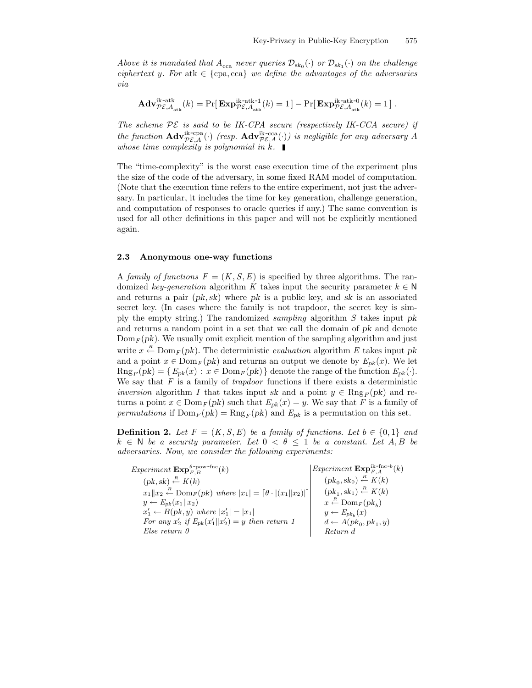Above it is mandated that  $A_{\text{cca}}$  never queries  $\mathcal{D}_{\text{sk}_0}(\cdot)$  or  $\mathcal{D}_{\text{sk}_1}(\cdot)$  on the challenge ciphertext y. For atk  $\in \{cpa, cca\}$  we define the advantages of the adversaries via

$$
\mathbf{Adv}_{\mathcal{PE},A_{\text{atk}}}^{\text{ik-atk}}(k) = \Pr[\mathbf{Exp}_{\mathcal{PE},A_{\text{atk}}}^{\text{ik-atk-1}}(k) = 1] - \Pr[\mathbf{Exp}_{\mathcal{PE},A_{\text{atk}}}^{\text{ik-atk-0}}(k) = 1] \; .
$$

The scheme  $\mathcal{PE}$  is said to be IK-CPA secure (respectively IK-CCA secure) if the function  $\mathbf{Adv}_{\mathcal{PE},A}^{\text{ik-cpa}}(\cdot)$  (resp.  $\mathbf{Adv}_{\mathcal{PE},A}^{\text{ik-cca}}(\cdot)$ ) is negligible for any adversary  $\tilde{A}$ whose time complexity is polynomial in  $k$ .

The "time-complexity" is the worst case execution time of the experiment plus the size of the code of the adversary, in some fixed RAM model of computation. (Note that the execution time refers to the entire experiment, not just the adversary. In particular, it includes the time for key generation, challenge generation, and computation of responses to oracle queries if any.) The same convention is used for all other definitions in this paper and will not be explicitly mentioned again.

#### 2.3 Anonymous one-way functions

A family of functions  $F = (K, S, E)$  is specified by three algorithms. The randomized key-generation algorithm K takes input the security parameter  $k \in \mathbb{N}$ and returns a pair  $(pk, sk)$  where pk is a public key, and sk is an associated secret key. (In cases where the family is not trapdoor, the secret key is simply the empty string.) The randomized sampling algorithm S takes input pk and returns a random point in a set that we call the domain of pk and denote  $\text{Dom}_F (pk)$ . We usually omit explicit mention of the sampling algorithm and just write  $x \stackrel{R}{\leftarrow} \text{Dom}_F(pk)$ . The deterministic *evaluation* algorithm E takes input pk and a point  $x \in \text{Dom}_F (pk)$  and returns an output we denote by  $E_{pk}(x)$ . We let  $\text{Rng}_F(pk) = \{E_{pk}(x) : x \in \text{Dom}_F(pk)\}\$ denote the range of the function  $E_{pk}(\cdot)$ . We say that  $F$  is a family of *trapdoor* functions if there exists a deterministic *inversion* algorithm I that takes input sk and a point  $y \in \text{Rng}_F (pk)$  and returns a point  $x \in \text{Dom}_F(pk)$  such that  $E_{pk}(x) = y$ . We say that F is a family of permutations if  $\text{Dom}_F (pk) = \text{Rng}_F (pk)$  and  $E_{pk}$  is a permutation on this set.

**Definition 2.** Let  $F = (K, S, E)$  be a family of functions. Let  $b \in \{0, 1\}$  and  $k \in \mathbb{N}$  be a security parameter. Let  $0 < \theta \leq 1$  be a constant. Let A, B be adversaries. Now, we consider the following experiments:

| <i>Experiment</i> $\text{Exp}_{F,B}^{\theta\text{-pow-fnc}}(k)$                                              | Experiment $\textbf{Exp}_{F.A}^{\text{ik-fnc-}b}(k)$ |
|--------------------------------------------------------------------------------------------------------------|------------------------------------------------------|
| $(pk, sk) \stackrel{R}{\leftarrow} K(k)$                                                                     | $(pk_0, sk_0) \stackrel{R}{\leftarrow} K(k)$         |
| $x_1  x_2 \stackrel{R}{\leftarrow} \text{Dom}_F(pk)$ where $ x_1  = \lceil \theta \cdot  (x_1  x_2)  \rceil$ | $(pk_1, sk_1) \stackrel{R}{\leftarrow} K(k)$         |
| $y \leftarrow E_{pk}(x_1  x_2)$                                                                              | $x \stackrel{R}{\leftarrow} \text{Dom}_F(pk_h)$      |
| $x'_1 \leftarrow B(pk, y)$ where $ x'_1  =  x_1 $                                                            | $y \leftarrow E_{pk_b}(x)$                           |
| For any $x'_2$ if $E_{pk}(x'_1  x'_2) = y$ then return 1                                                     | $d \leftarrow A(pk_0, pk_1, y)$                      |
| Else return 0                                                                                                | Return d                                             |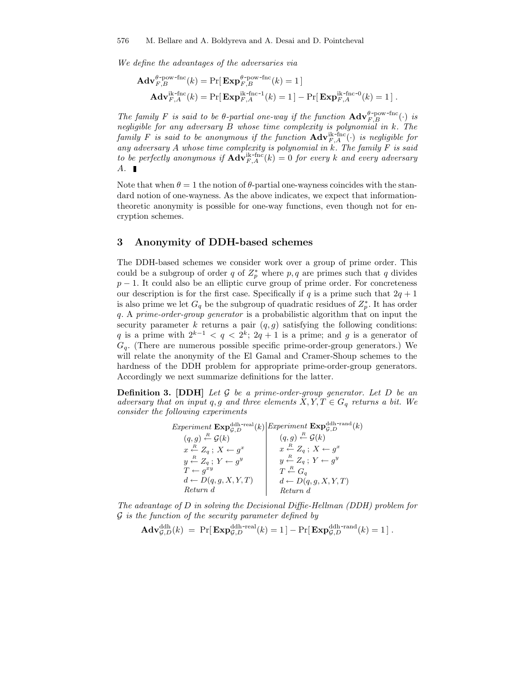We define the advantages of the adversaries via

$$
\mathbf{Adv}_{F,B}^{\theta\text{-pow-fnc}}(k) = \Pr[\mathbf{Exp}_{F,B}^{\theta\text{-pow-fnc}}(k) = 1] \mathbf{Adv}_{F,A}^{\text{ik-fnc}}(k) = \Pr[\mathbf{Exp}_{F,A}^{\text{ik-fnc-1}}(k) = 1] - \Pr[\mathbf{Exp}_{F,A}^{\text{ik-fnc-0}}(k) = 1].
$$

The family F is said to be  $\theta$ -partial one-way if the function  $\mathbf{Adv}_{F,B}^{\theta\text{-pow-fnc}}(\cdot)$  is negligible for any adversary B whose time complexity is polynomial in k. The family F is said to be anonymous if the function  $\mathbf{Adv}_{F,A}^{\text{ik-fnc}}(\cdot)$  is negligible for any adversary  $A$  whose time complexity is polynomial in  $\vec{k}$ . The family  $F$  is said to be perfectly anonymous if  $\mathbf{Adv}_{F,A}^{\text{ik-fnc}}(k) = 0$  for every k and every adversary  $A.$   $\blacksquare$ 

Note that when  $\theta = 1$  the notion of  $\theta$ -partial one-wayness coincides with the standard notion of one-wayness. As the above indicates, we expect that informationtheoretic anonymity is possible for one-way functions, even though not for encryption schemes.

### 3 Anonymity of DDH-based schemes

The DDH-based schemes we consider work over a group of prime order. This could be a subgroup of order q of  $Z_p^*$  where  $p, q$  are primes such that q divides  $p-1$ . It could also be an elliptic curve group of prime order. For concreteness our description is for the first case. Specifically if q is a prime such that  $2q + 1$ is also prime we let  $G_q$  be the subgroup of quadratic residues of  $Z_p^*$ . It has order q. A prime-order-group generator is a probabilistic algorithm that on input the security parameter k returns a pair  $(q, g)$  satisfying the following conditions: q is a prime with  $2^{k-1} < q < 2^k$ ;  $2q+1$  is a prime; and g is a generator of  $G_q$ . (There are numerous possible specific prime-order-group generators.) We will relate the anonymity of the El Gamal and Cramer-Shoup schemes to the hardness of the DDH problem for appropriate prime-order-group generators. Accordingly we next summarize definitions for the latter.

**Definition 3. [DDH]** Let  $G$  be a prime-order-group generator. Let  $D$  be an adversary that on input q, g and three elements  $X, Y, T \in G_q$  returns a bit. We consider the following experiments

|                                                       | Experiment $\text{Exp}_{G,D}^{\text{ddh}\text{-}\text{real}}(k)$ Experiment $\text{Exp}_{G,D}^{\text{ddh}\text{-}\text{rand}}(k)$ |
|-------------------------------------------------------|-----------------------------------------------------------------------------------------------------------------------------------|
| $(q, q) \stackrel{R}{\leftarrow} \mathcal{G}(k)$      | $(q, q) \stackrel{R}{\leftarrow} \mathcal{G}(k)$                                                                                  |
| $x \stackrel{R}{\leftarrow} Z_q$ ; $X \leftarrow g^x$ | $x \stackrel{R}{\leftarrow} Z_a$ ; $X \leftarrow g^x$                                                                             |
| $y \stackrel{R}{\leftarrow} Z_q$ ; $Y \leftarrow q^y$ | $y \stackrel{R}{\leftarrow} Z_g$ ; $Y \leftarrow g^y$                                                                             |
| $T \leftarrow a^{xy}$                                 | $T \stackrel{R}{\leftarrow} G_a$                                                                                                  |
| $d \leftarrow D(q, q, X, Y, T)$                       | $d \leftarrow D(q, g, X, Y, T)$                                                                                                   |
| Return d                                              | Return d                                                                                                                          |

The advantage of D in solving the Decisional Diffie-Hellman (DDH) problem for  $\mathcal G$  is the function of the security parameter defined by

$$
\mathbf{Adv}_{\mathcal{G}, D}^{\mathrm{ddh}}(k) \;=\; \Pr[\,\mathbf{Exp}_{\mathcal{G}, D}^{\mathrm{ddh}\text{-}\mathrm{real}}(k) = 1\,] - \Pr[\,\mathbf{Exp}_{\mathcal{G}, D}^{\mathrm{ddh}\text{-}\mathrm{rand}}(k) = 1\,]\;.
$$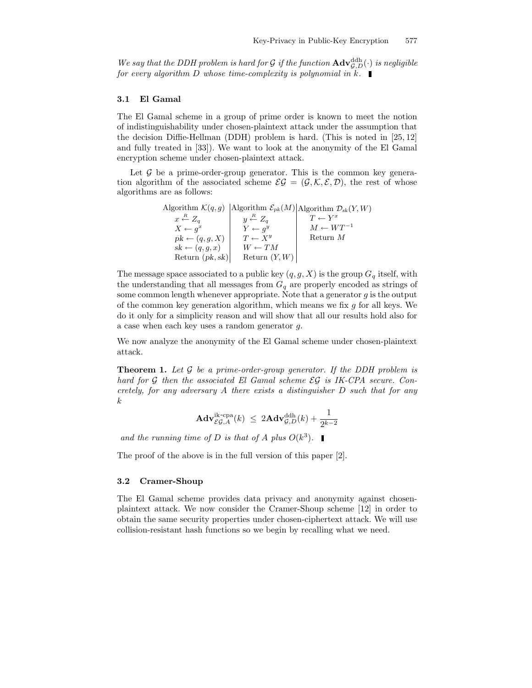We say that the DDH problem is hard for G if the function  $\mathbf{Adv}_{\mathcal{G},D}^{\text{ddh}}(\cdot)$  is negligible for every algorithm D whose time-complexity is polynomial in  $\hat{k}$ .

#### 3.1 El Gamal

The El Gamal scheme in a group of prime order is known to meet the notion of indistinguishability under chosen-plaintext attack under the assumption that the decision Diffie-Hellman (DDH) problem is hard. (This is noted in [25, 12] and fully treated in [33]). We want to look at the anonymity of the El Gamal encryption scheme under chosen-plaintext attack.

Let  $G$  be a prime-order-group generator. This is the common key generation algorithm of the associated scheme  $\mathcal{EG} = (\mathcal{G}, \mathcal{K}, \mathcal{E}, \mathcal{D})$ , the rest of whose algorithms are as follows:

> Algorithm  $\mathcal{K}(q, g)$  Algorithm  $\mathcal{E}_{pk}(M)$  Algorithm  $\mathcal{D}_{sk}(Y, W)$  $x \stackrel{R}{\leftarrow} Z_q$  $X \leftarrow g^x$  $pk \leftarrow (q, g, X)$  $sk \leftarrow (q, g, x)$ Return (pk, sk)  $y \stackrel{R}{\leftarrow} Z_q$  $Y \leftarrow g^y$  $T \leftarrow X^y$  $W \leftarrow TM$ Return  $(Y, W)$  $T \leftarrow Y^x$  $M \leftarrow WT^{-1}$ Return M

The message space associated to a public key  $(q, g, X)$  is the group  $G_q$  itself, with the understanding that all messages from  $G_q$  are properly encoded as strings of some common length whenever appropriate. Note that a generator  $g$  is the output of the common key generation algorithm, which means we fix  $g$  for all keys. We do it only for a simplicity reason and will show that all our results hold also for a case when each key uses a random generator g.

We now analyze the anonymity of the El Gamal scheme under chosen-plaintext attack.

**Theorem 1.** Let  $G$  be a prime-order-group generator. If the DDH problem is hard for  $G$  then the associated El Gamal scheme  $EG$  is IK-CPA secure. Concretely, for any adversary A there exists a distinguisher D such that for any k

$$
\mathbf{Adv}_{\mathcal{EG},A}^{\mathrm{ik-cpa}}(k) \ \leq \ 2\mathbf{Adv}_{\mathcal{G},D}^{\mathrm{ddh}}(k) + \frac{1}{2^{k-2}}
$$

and the running time of D is that of A plus  $O(k^3)$ .

The proof of the above is in the full version of this paper [2].

#### 3.2 Cramer-Shoup

The El Gamal scheme provides data privacy and anonymity against chosenplaintext attack. We now consider the Cramer-Shoup scheme [12] in order to obtain the same security properties under chosen-ciphertext attack. We will use collision-resistant hash functions so we begin by recalling what we need.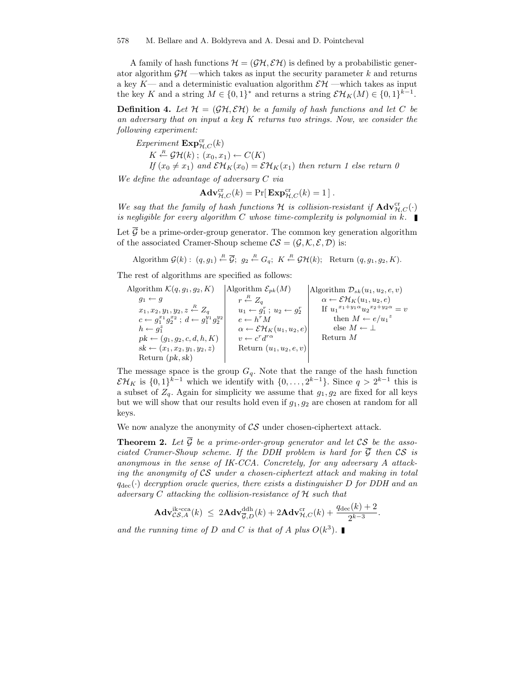A family of hash functions  $\mathcal{H} = (\mathcal{GH}, \mathcal{EH})$  is defined by a probabilistic generator algorithm  $\mathcal{GH}$  —which takes as input the security parameter k and returns a key  $K$ — and a deterministic evaluation algorithm  $\mathcal{E}H$  —which takes as input the key K and a string  $M \in \{0,1\}^*$  and returns a string  $\mathcal{EH}_K(M) \in \{0,1\}^{k-1}$ .

**Definition 4.** Let  $\mathcal{H} = (\mathcal{GH}, \mathcal{EH})$  be a family of hash functions and let C be an adversary that on input a key K returns two strings. Now, we consider the following experiment:

Experiment  $\mathbf{Exp}_{\mathcal{H},C}^{\text{cr}}(k)$  $K \stackrel{R}{\leftarrow} \mathcal{GH}(k)$ ;  $(x_0, x_1) \leftarrow C(K)$ 

If  $(x_0 \neq x_1)$  and  $\mathcal{EH}_K(x_0) = \mathcal{EH}_K(x_1)$  then return 1 else return 0

We define the advantage of adversary  $C$  via

 $\mathbf{Adv}_{\mathcal{H},C}^{\mathrm{cr}}(k) = \Pr[\mathbf{Exp}_{\mathcal{H},C}^{\mathrm{cr}}(k) = 1]$ .

We say that the family of hash functions H is collision-resistant if  $\mathbf{Adv}^{\text{cr}}_{\mathcal{H},C}(\cdot)$ is negligible for every algorithm C whose time-complexity is polynomial in  $k$ .

Let  $\overline{\mathcal{G}}$  be a prime-order-group generator. The common key generation algorithm of the associated Cramer-Shoup scheme  $CS = (\mathcal{G}, \mathcal{K}, \mathcal{E}, \mathcal{D})$  is:

Algorithm  $\mathcal{G}(k)$ :  $(q, g_1) \stackrel{R}{\leftarrow} \overline{\mathcal{G}}$ ;  $g_2 \stackrel{R}{\leftarrow} G_q$ ;  $K \stackrel{R}{\leftarrow} \mathcal{GH}(k)$ ; Return  $(q, g_1, g_2, K)$ .

The rest of algorithms are specified as follows:

Algorithm 
$$
K(q, g_1, g_2, K)
$$
  
\n
$$
\begin{array}{c}\ng_1 \leftarrow g \\
x_1, x_2, y_1, y_2, z \xrightarrow{R} Z_q \\
c \leftarrow g_1^{x_1} g_2^{x_2}; d \leftarrow g_1^{y_1} g_2^{y_2} \\
pk \leftarrow (g_1, g_2, c, d, h, K)\n\end{array}\right)\n\begin{array}{c}\n\text{Algorithm } \mathcal{E}_{pk}(M) \\
\text{Algorithm } \mathcal{E}_{pk}(M) \\
r \xleftarrow{R} Z_q \\
u_1 \leftarrow g_1^r; u_2 \leftarrow g_2^r \\
u_1 \leftarrow g_1^r; u_2 \leftarrow g_2^r\n\end{array}\n\begin{array}{c}\n\alpha \leftarrow \mathcal{E} \mathcal{H}_K(u_1, u_2, e) \\
\text{If } u_1^{x_1 + y_1 \alpha} u_2^{x_2 + y_2 \alpha} = v \\
\text{If } u_1^{x_1 + y_1 \alpha} u_2^{x_2 + y_2 \alpha} = v \\
\text{then } M \leftarrow e/u_1^z \\
\alpha \leftarrow \mathcal{E} \mathcal{H}_K(u_1, u_2, e)\n\end{array}\n\right)\n\begin{array}{c}\n\text{Algorithm } \mathcal{D}_{sk}(u_1, u_2, e, v) \\
\alpha \leftarrow \mathcal{E} \mathcal{H}_K(u_1, u_2, e) \\
\text{then } M \leftarrow e/u_1^z \\
\text{then } M \leftarrow e/u_1^z\n\end{array}\n\right)\n\begin{array}{c}\n\text{H} \text{u}_1^{x_1 + y_1 \alpha} u_2^{x_2 + y_2 \alpha} = v \\
\text{then } M \leftarrow e/u_1^z \\
\text{else } M \leftarrow \perp\n\end{array}
$$

The message space is the group  $G_q$ . Note that the range of the hash function  $\mathcal{E}\mathcal{H}_K$  is  $\{0,1\}^{k-1}$  which we identify with  $\{0,\ldots,2^{k-1}\}\.$  Since  $q>2^{k-1}$  this is a subset of  $Z_q$ . Again for simplicity we assume that  $g_1, g_2$  are fixed for all keys but we will show that our results hold even if  $g_1, g_2$  are chosen at random for all keys.

We now analyze the anonymity of  $\mathcal{CS}$  under chosen-ciphertext attack.

**Theorem 2.** Let  $\overline{\mathcal{G}}$  be a prime-order-group generator and let  $\mathcal{CS}$  be the associated Cramer-Shoup scheme. If the DDH problem is hard for  $\overline{G}$  then CS is anonymous in the sense of IK-CCA. Concretely, for any adversary A attacking the anonymity of CS under a chosen-ciphertext attack and making in total  $q_{\text{dec}}(\cdot)$  decryption oracle queries, there exists a distinguisher D for DDH and an adversary C attacking the collision-resistance of  $H$  such that

$$
\mathbf{Adv}_{\mathcal{CS},A}^{\mathrm{ik}\text{-}\mathrm{cca}}(k) \ \leq \ 2\mathbf{Adv}_{\overline{\mathcal{G}},D}^{\mathrm{ddh}}(k) + 2\mathbf{Adv}_{\mathcal{H},C}^{\mathrm{cr}}(k) + \frac{q_{\mathrm{dec}}(k) + 2}{2^{k-3}}.
$$

and the running time of D and C is that of A plus  $O(k^3)$ .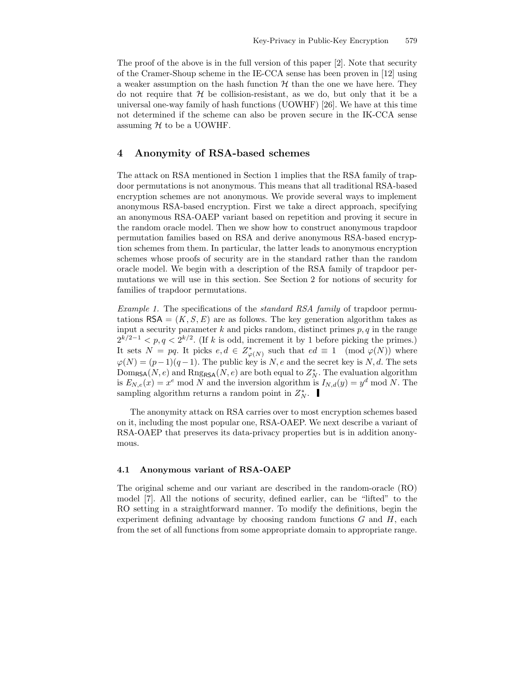The proof of the above is in the full version of this paper [2]. Note that security of the Cramer-Shoup scheme in the IE-CCA sense has been proven in [12] using a weaker assumption on the hash function  $H$  than the one we have here. They do not require that  $H$  be collision-resistant, as we do, but only that it be a universal one-way family of hash functions (UOWHF) [26]. We have at this time not determined if the scheme can also be proven secure in the IK-CCA sense assuming  $H$  to be a UOWHF.

# 4 Anonymity of RSA-based schemes

The attack on RSA mentioned in Section 1 implies that the RSA family of trapdoor permutations is not anonymous. This means that all traditional RSA-based encryption schemes are not anonymous. We provide several ways to implement anonymous RSA-based encryption. First we take a direct approach, specifying an anonymous RSA-OAEP variant based on repetition and proving it secure in the random oracle model. Then we show how to construct anonymous trapdoor permutation families based on RSA and derive anonymous RSA-based encryption schemes from them. In particular, the latter leads to anonymous encryption schemes whose proofs of security are in the standard rather than the random oracle model. We begin with a description of the RSA family of trapdoor permutations we will use in this section. See Section 2 for notions of security for families of trapdoor permutations.

Example 1. The specifications of the *standard RSA family* of trapdoor permutations  $\mathsf{RSA} = (K, S, E)$  are as follows. The key generation algorithm takes as input a security parameter  $k$  and picks random, distinct primes  $p, q$  in the range  $2^{k/2-1} < p, q < 2^{k/2}$ . (If k is odd, increment it by 1 before picking the primes.) It sets  $N = pq$ . It picks  $e, d \in Z^*_{\varphi(N)}$  such that  $ed \equiv 1 \pmod{\varphi(N)}$  where  $\varphi(N) = (p-1)(q-1)$ . The public key is N, e and the secret key is N, d. The sets  $\text{Dom}_{\textsf{RSA}}(N, e)$  and  $\text{Rng}_{\textsf{RSA}}(N, e)$  are both equal to  $Z_N^*$ . The evaluation algorithm is  $E_{N,e}(x) = x^e \mod N$  and the inversion algorithm is  $I_{N,d}(y) = y^d \mod N$ . The sampling algorithm returns a random point in  $Z_N^*$ .

The anonymity attack on RSA carries over to most encryption schemes based on it, including the most popular one, RSA-OAEP. We next describe a variant of RSA-OAEP that preserves its data-privacy properties but is in addition anonymous.

#### 4.1 Anonymous variant of RSA-OAEP

The original scheme and our variant are described in the random-oracle (RO) model [7]. All the notions of security, defined earlier, can be "lifted" to the RO setting in a straightforward manner. To modify the definitions, begin the experiment defining advantage by choosing random functions  $G$  and  $H$ , each from the set of all functions from some appropriate domain to appropriate range.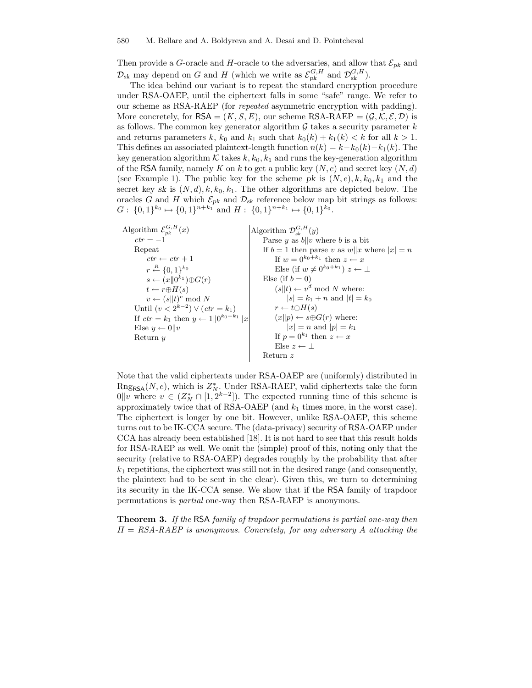Then provide a G-oracle and H-oracle to the adversaries, and allow that  $\mathcal{E}_{pk}$  and  $\mathcal{D}_{sk}$  may depend on G and H (which we write as  $\mathcal{E}_{pk}^{G,H}$  and  $\mathcal{D}_{sk}^{G,H}$ ).

The idea behind our variant is to repeat the standard encryption procedure under RSA-OAEP, until the ciphertext falls in some "safe" range. We refer to our scheme as RSA-RAEP (for repeated asymmetric encryption with padding). More concretely, for  $\mathsf{RSA} = (K, S, E)$ , our scheme  $\mathsf{RSA}\text{-}\mathsf{RA}\text{-}\mathsf{RP} = (\mathcal{G}, \mathcal{K}, \mathcal{E}, \mathcal{D})$  is as follows. The common key generator algorithm  $G$  takes a security parameter  $k$ and returns parameters k,  $k_0$  and  $k_1$  such that  $k_0(k) + k_1(k) < k$  for all  $k > 1$ . This defines an associated plaintext-length function  $n(k) = k - k_0(k) - k_1(k)$ . The key generation algorithm K takes  $k, k_0, k_1$  and runs the key-generation algorithm of the RSA family, namely K on k to get a public key  $(N, e)$  and secret key  $(N, d)$ (see Example 1). The public key for the scheme pk is  $(N, e), k, k_0, k_1$  and the secret key sk is  $(N, d), k, k_0, k_1$ . The other algorithms are depicted below. The oracles G and H which  $\mathcal{E}_{pk}$  and  $\mathcal{D}_{sk}$  reference below map bit strings as follows:  $G: \{0,1\}^{k_0} \mapsto \{0,1\}^{n+k_1}$  and  $H: \{0,1\}^{n+k_1} \mapsto \{0,1\}^{k_0}$ .

Algorithm  $\mathcal{E}_{pk}^{G,H}(x)$  $ctr = -1$ Repeat  $ctr \leftarrow 1$  $r \stackrel{R}{\leftarrow} \{0,1\}^{k_0}$  $s \leftarrow (x||0^{k_1}) \oplus G(r)$  $t \leftarrow r \oplus H(s)$  $v \leftarrow (s||t)^e \mod N$ Until  $(v < 2^{k-2}) \vee (ctr = k_1)$ If  $ctr = k_1$  then  $y \leftarrow 1||0^{k_0 + k_1}||x$ Else  $y \leftarrow 0||v$ Return y Algorithm  $\mathcal{D}_{sk}^{G,H}(y)$ Parse y as  $b||v$  where b is a bit If  $b = 1$  then parse v as  $w||x$  where  $|x| = n$ If  $w = 0^{k_0 + k_1}$  then  $z \leftarrow x$ Else (if  $w \neq 0^{k_0+k_1}$ )  $z \leftarrow \perp$ Else (if  $b = 0$ )  $(s||t) \leftarrow v^d \mod N$  where:  $|s| = k_1 + n$  and  $|t| = k_0$  $r \leftarrow t \oplus H(s)$  $(x||p) \leftarrow s \oplus G(r)$  where:  $|x| = n$  and  $|p| = k_1$ If  $p = 0^{k_1}$  then  $z \leftarrow x$ Else  $z \leftarrow \perp$ Return z

Note that the valid ciphertexts under RSA-OAEP are (uniformly) distributed in  $Rng_{\text{RSA}}(N, e)$ , which is  $Z_N^*$ . Under RSA-RAEP, valid ciphertexts take the form  $0||v$  where  $v \in (Z_N^* \cap [1, 2^{k-2}])$ . The expected running time of this scheme is approximately twice that of RSA-OAEP (and  $k_1$  times more, in the worst case). The ciphertext is longer by one bit. However, unlike RSA-OAEP, this scheme turns out to be IK-CCA secure. The (data-privacy) security of RSA-OAEP under CCA has already been established [18]. It is not hard to see that this result holds for RSA-RAEP as well. We omit the (simple) proof of this, noting only that the security (relative to RSA-OAEP) degrades roughly by the probability that after  $k_1$  repetitions, the ciphertext was still not in the desired range (and consequently, the plaintext had to be sent in the clear). Given this, we turn to determining its security in the IK-CCA sense. We show that if the RSA family of trapdoor permutations is partial one-way then RSA-RAEP is anonymous.

Theorem 3. If the RSA family of trapdoor permutations is partial one-way then  $\Pi = RSA-RAEP$  is anonymous. Concretely, for any adversary A attacking the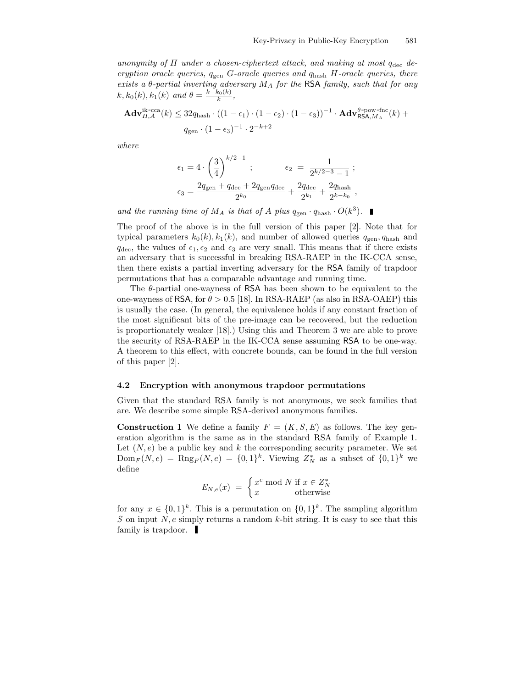anonymity of  $\Pi$  under a chosen-ciphertext attack, and making at most  $q_{\text{dec}}$  decryption oracle queries,  $q_{gen}$  G-oracle queries and  $q_{hash}$  H-oracle queries, there exists a  $\theta$ -partial inverting adversary  $M_A$  for the RSA family, such that for any  $k, k_0(k), k_1(k)$  and  $\theta = \frac{k - k_0(k)}{k}$ ,

$$
\mathbf{Adv}_{\Pi,A}^{\mathrm{ik}\text{-}\mathrm{cca}}(k) \leq 32q_{\mathrm{hash}} \cdot ((1 - \epsilon_1) \cdot (1 - \epsilon_2) \cdot (1 - \epsilon_3))^{-1} \cdot \mathbf{Adv}_{\mathrm{RSA},\mathit{MA}}^{\theta\text{-}\mathrm{pow}\text{-}\mathrm{frac}}(k) +
$$
  

$$
q_{\mathrm{gen}} \cdot (1 - \epsilon_3)^{-1} \cdot 2^{-k+2}
$$

where

$$
\epsilon_1 = 4 \cdot \left(\frac{3}{4}\right)^{k/2 - 1}; \qquad \epsilon_2 = \frac{1}{2^{k/2 - 3} - 1};
$$
  

$$
\epsilon_3 = \frac{2q_{\text{gen}} + q_{\text{dec}} + 2q_{\text{gen}}q_{\text{dec}}}{2^{k_0}} + \frac{2q_{\text{dec}}}{2^{k_1}} + \frac{2q_{\text{hash}}}{2^{k - k_0}},
$$

and the running time of  $M_A$  is that of A plus  $q_{gen} \cdot q_{hash} \cdot O(k^3)$ .

The proof of the above is in the full version of this paper [2]. Note that for typical parameters  $k_0(k)$ ,  $k_1(k)$ , and number of allowed queries  $q_{gen}$ ,  $q_{hash}$  and  $q_{\text{dec}}$ , the values of  $\epsilon_1, \epsilon_2$  and  $\epsilon_3$  are very small. This means that if there exists an adversary that is successful in breaking RSA-RAEP in the IK-CCA sense, then there exists a partial inverting adversary for the RSA family of trapdoor permutations that has a comparable advantage and running time.

The  $\theta$ -partial one-wayness of RSA has been shown to be equivalent to the one-wayness of RSA, for  $\theta > 0.5$  [18]. In RSA-RAEP (as also in RSA-OAEP) this is usually the case. (In general, the equivalence holds if any constant fraction of the most significant bits of the pre-image can be recovered, but the reduction is proportionately weaker [18].) Using this and Theorem 3 we are able to prove the security of RSA-RAEP in the IK-CCA sense assuming RSA to be one-way. A theorem to this effect, with concrete bounds, can be found in the full version of this paper [2].

#### 4.2 Encryption with anonymous trapdoor permutations

Given that the standard RSA family is not anonymous, we seek families that are. We describe some simple RSA-derived anonymous families.

**Construction 1** We define a family  $F = (K, S, E)$  as follows. The key generation algorithm is the same as in the standard RSA family of Example 1. Let  $(N, e)$  be a public key and k the corresponding security parameter. We set  $\text{Dom}_F(N, e) = \text{Rng}_F(N, e) = \{0, 1\}^k$ . Viewing  $Z_N^*$  as a subset of  $\{0, 1\}^k$  we define

$$
E_{N,e}(x) = \begin{cases} x^e \bmod N & \text{if } x \in Z_N^* \\ x & \text{otherwise} \end{cases}
$$

for any  $x \in \{0,1\}^k$ . This is a permutation on  $\{0,1\}^k$ . The sampling algorithm S on input  $N$ , e simply returns a random k-bit string. It is easy to see that this family is trapdoor.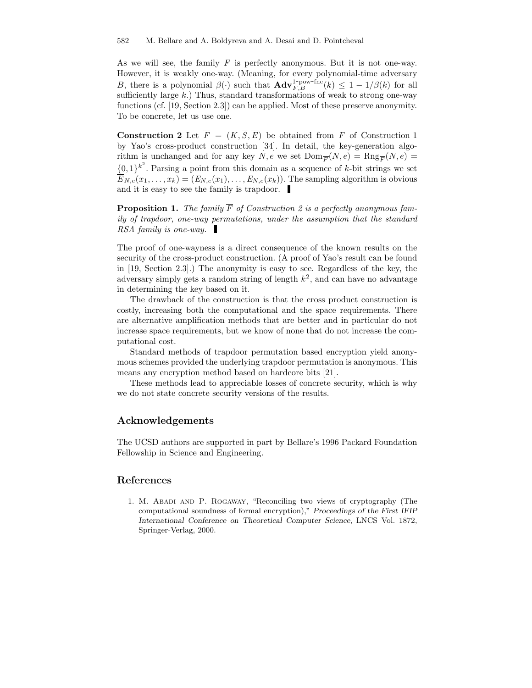As we will see, the family  $F$  is perfectly anonymous. But it is not one-way. However, it is weakly one-way. (Meaning, for every polynomial-time adversary B, there is a polynomial  $\beta(\cdot)$  such that  $\mathbf{Adv}_{F,B}^{1\text{-pow-fnc}}(k) \leq 1 - 1/\beta(k)$  for all sufficiently large  $k$ .) Thus, standard transformations of weak to strong one-way functions (cf. [19, Section 2.3]) can be applied. Most of these preserve anonymity. To be concrete, let us use one.

**Construction 2** Let  $\overline{F} = (K, \overline{S}, \overline{E})$  be obtained from F of Construction 1 by Yao's cross-product construction [34]. In detail, the key-generation algorithm is unchanged and for any key  $N, e$  we set  $\text{Dom}_{\overline{F}}(N, e) = \text{Rng}_{\overline{F}}(N, e) =$  ${0,1}^k$ <sup>2</sup>. Parsing a point from this domain as a sequence of k-bit strings we set  $E_{N,e}(x_1,\ldots,x_k)=(E_{N,e}(x_1),\ldots,E_{N,e}(x_k)).$  The sampling algorithm is obvious and it is easy to see the family is trapdoor.  $\blacksquare$ 

**Proposition 1.** The family  $\overline{F}$  of Construction 2 is a perfectly anonymous family of trapdoor, one-way permutations, under the assumption that the standard RSA family is one-way.

The proof of one-wayness is a direct consequence of the known results on the security of the cross-product construction. (A proof of Yao's result can be found in [19, Section 2.3].) The anonymity is easy to see. Regardless of the key, the adversary simply gets a random string of length  $k^2$ , and can have no advantage in determining the key based on it.

The drawback of the construction is that the cross product construction is costly, increasing both the computational and the space requirements. There are alternative amplification methods that are better and in particular do not increase space requirements, but we know of none that do not increase the computational cost.

Standard methods of trapdoor permutation based encryption yield anonymous schemes provided the underlying trapdoor permutation is anonymous. This means any encryption method based on hardcore bits [21].

These methods lead to appreciable losses of concrete security, which is why we do not state concrete security versions of the results.

# Acknowledgements

The UCSD authors are supported in part by Bellare's 1996 Packard Foundation Fellowship in Science and Engineering.

### References

1. M. Abadi and P. Rogaway, "Reconciling two views of cryptography (The computational soundness of formal encryption)," Proceedings of the First IFIP International Conference on Theoretical Computer Science, LNCS Vol. 1872, Springer-Verlag, 2000.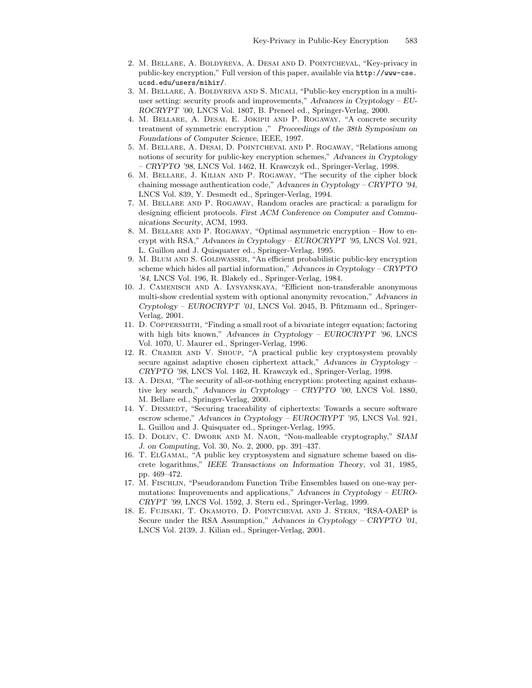- 2. M. Bellare, A. Boldyreva, A. Desai and D. Pointcheval, "Key-privacy in public-key encryption," Full version of this paper, available via http://www-cse. ucsd.edu/users/mihir/.
- 3. M. Bellare, A. Boldyreva and S. Micali, "Public-key encryption in a multiuser setting: security proofs and improvements," Advances in Cryptology –  $EU$ -ROCRYPT '00, LNCS Vol. 1807, B. Preneel ed., Springer-Verlag, 2000.
- 4. M. Bellare, A. Desai, E. Jokipii and P. Rogaway, "A concrete security treatment of symmetric encryption ," Proceedings of the 38th Symposium on Foundations of Computer Science, IEEE, 1997.
- 5. M. Bellare, A. Desai, D. Pointcheval and P. Rogaway, "Relations among notions of security for public-key encryption schemes," Advances in Cryptology – CRYPTO '98, LNCS Vol. 1462, H. Krawczyk ed., Springer-Verlag, 1998.
- 6. M. Bellare, J. Kilian and P. Rogaway, "The security of the cipher block chaining message authentication code," Advances in Cryptology – CRYPTO '94, LNCS Vol. 839, Y. Desmedt ed., Springer-Verlag, 1994.
- 7. M. Bellare and P. Rogaway, Random oracles are practical: a paradigm for designing efficient protocols. First ACM Conference on Computer and Communications Security, ACM, 1993.
- 8. M. Bellare and P. Rogaway, "Optimal asymmetric encryption How to encrypt with RSA," Advances in Cryptology – EUROCRYPT '95, LNCS Vol. 921, L. Guillou and J. Quisquater ed., Springer-Verlag, 1995.
- 9. M. BLUM AND S. GOLDWASSER, "An efficient probabilistic public-key encryption scheme which hides all partial information," Advances in Cryptology – CRYPTO '84, LNCS Vol. 196, R. Blakely ed., Springer-Verlag, 1984.
- 10. J. Camenisch and A. Lysyanskaya, "Efficient non-transferable anonymous multi-show credential system with optional anonymity revocation," Advances in Cryptology – EUROCRYPT '01, LNCS Vol. 2045, B. Pfitzmann ed., Springer-Verlag, 2001.
- 11. D. Coppersmith, "Finding a small root of a bivariate integer equation; factoring with high bits known," Advances in Cryptology – EUROCRYPT '96, LNCS Vol. 1070, U. Maurer ed., Springer-Verlag, 1996.
- 12. R. Cramer and V. Shoup, "A practical public key cryptosystem provably secure against adaptive chosen ciphertext attack," Advances in Cryptology – CRYPTO '98, LNCS Vol. 1462, H. Krawczyk ed., Springer-Verlag, 1998.
- 13. A. Desai, "The security of all-or-nothing encryption: protecting against exhaustive key search," Advances in Cryptology – CRYPTO '00, LNCS Vol. 1880, M. Bellare ed., Springer-Verlag, 2000.
- 14. Y. DESMEDT, "Securing traceability of ciphertexts: Towards a secure software escrow scheme," Advances in Cryptology – EUROCRYPT '95, LNCS Vol. 921, L. Guillou and J. Quisquater ed., Springer-Verlag, 1995.
- 15. D. Dolev, C. Dwork and M. Naor, "Non-malleable cryptography," SIAM J. on Computing, Vol. 30, No. 2, 2000, pp. 391–437.
- 16. T. ElGamal, "A public key cryptosystem and signature scheme based on discrete logarithms," IEEE Transactions on Information Theory, vol 31, 1985, pp. 469–472.
- 17. M. Fischlin, "Pseudorandom Function Tribe Ensembles based on one-way permutations: Improvements and applications," Advances in Cryptology – EURO-CRYPT '99, LNCS Vol. 1592, J. Stern ed., Springer-Verlag, 1999.
- 18. E. Fujisaki, T. Okamoto, D. Pointcheval and J. Stern, "RSA-OAEP is Secure under the RSA Assumption," Advances in Cryptology – CRYPTO '01, LNCS Vol. 2139, J. Kilian ed., Springer-Verlag, 2001.